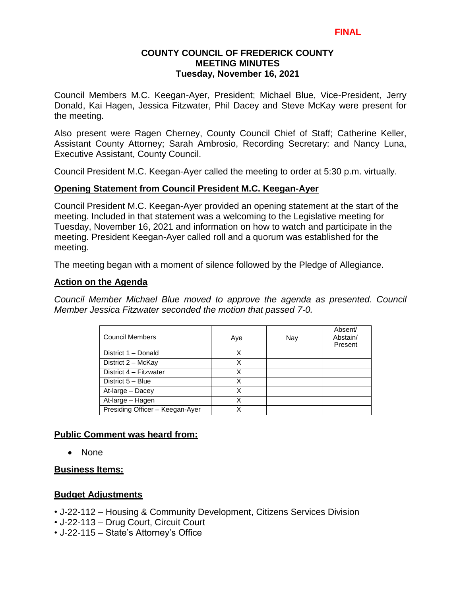## **COUNTY COUNCIL OF FREDERICK COUNTY MEETING MINUTES Tuesday, November 16, 2021**

Council Members M.C. Keegan-Ayer, President; Michael Blue, Vice-President, Jerry Donald, Kai Hagen, Jessica Fitzwater, Phil Dacey and Steve McKay were present for the meeting.

Also present were Ragen Cherney, County Council Chief of Staff; Catherine Keller, Assistant County Attorney; Sarah Ambrosio, Recording Secretary: and Nancy Luna, Executive Assistant, County Council.

Council President M.C. Keegan-Ayer called the meeting to order at 5:30 p.m. virtually.

## **Opening Statement from Council President M.C. Keegan-Ayer**

Council President M.C. Keegan-Ayer provided an opening statement at the start of the meeting. Included in that statement was a welcoming to the Legislative meeting for Tuesday, November 16, 2021 and information on how to watch and participate in the meeting. President Keegan-Ayer called roll and a quorum was established for the meeting.

The meeting began with a moment of silence followed by the Pledge of Allegiance.

## **Action on the Agenda**

*Council Member Michael Blue moved to approve the agenda as presented. Council Member Jessica Fitzwater seconded the motion that passed 7-0.*

| <b>Council Members</b>          | Aye | Nay | Absent/<br>Abstain/<br>Present |
|---------------------------------|-----|-----|--------------------------------|
| District 1 - Donald             | X   |     |                                |
| District 2 - McKay              | x   |     |                                |
| District 4 - Fitzwater          | X   |     |                                |
| District 5 - Blue               | X   |     |                                |
| At-large - Dacey                | X   |     |                                |
| At-large - Hagen                | X   |     |                                |
| Presiding Officer - Keegan-Ayer | x   |     |                                |

## **Public Comment was heard from:**

• None

## **Business Items:**

## **Budget Adjustments**

- J-22-112 Housing & Community Development, Citizens Services Division
- J-22-113 Drug Court, Circuit Court
- J-22-115 State's Attorney's Office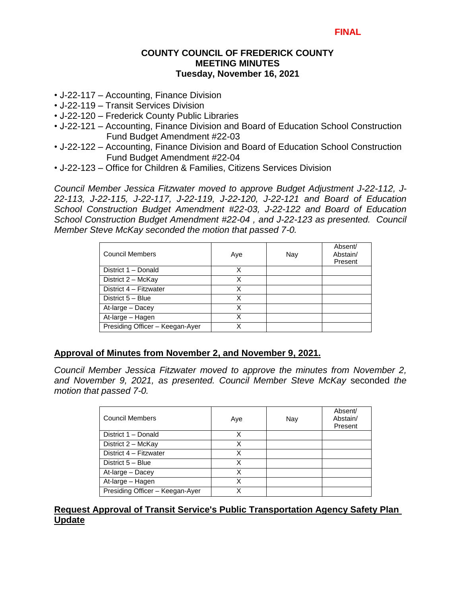## **COUNTY COUNCIL OF FREDERICK COUNTY MEETING MINUTES Tuesday, November 16, 2021**

- J-22-117 Accounting, Finance Division
- J-22-119 Transit Services Division
- J-22-120 Frederick County Public Libraries
- J-22-121 Accounting, Finance Division and Board of Education School Construction Fund Budget Amendment #22-03
- J-22-122 Accounting, Finance Division and Board of Education School Construction Fund Budget Amendment #22-04
- J-22-123 Office for Children & Families, Citizens Services Division

*Council Member Jessica Fitzwater moved to approve Budget Adjustment J-22-112, J-22-113, J-22-115, J-22-117, J-22-119, J-22-120, J-22-121 and Board of Education School Construction Budget Amendment #22-03, J-22-122 and Board of Education School Construction Budget Amendment #22-04 , and J-22-123 as presented. Council Member Steve McKay seconded the motion that passed 7-0.* 

| <b>Council Members</b>          | Aye | Nay | Absent/<br>Abstain/<br>Present |
|---------------------------------|-----|-----|--------------------------------|
| District 1 - Donald             | х   |     |                                |
| District 2 - McKay              | X   |     |                                |
| District 4 - Fitzwater          | х   |     |                                |
| District 5 - Blue               | x   |     |                                |
| At-large - Dacey                | x   |     |                                |
| At-large - Hagen                | Χ   |     |                                |
| Presiding Officer - Keegan-Ayer |     |     |                                |

## **Approval of Minutes from November 2, and November 9, 2021.**

*Council Member Jessica Fitzwater moved to approve the minutes from November 2, and November 9, 2021, as presented. Council Member Steve McKay* seconded *the motion that passed 7-0.* 

| Council Members                 | Aye | Nay | Absent/<br>Abstain/<br>Present |
|---------------------------------|-----|-----|--------------------------------|
| District 1 - Donald             | х   |     |                                |
| District 2 - McKay              | x   |     |                                |
| District 4 - Fitzwater          | Χ   |     |                                |
| District 5 - Blue               | x   |     |                                |
| At-large - Dacey                | x   |     |                                |
| At-large - Hagen                | Χ   |     |                                |
| Presiding Officer - Keegan-Ayer | x   |     |                                |

## **Request Approval of Transit Service's Public Transportation Agency Safety Plan Update**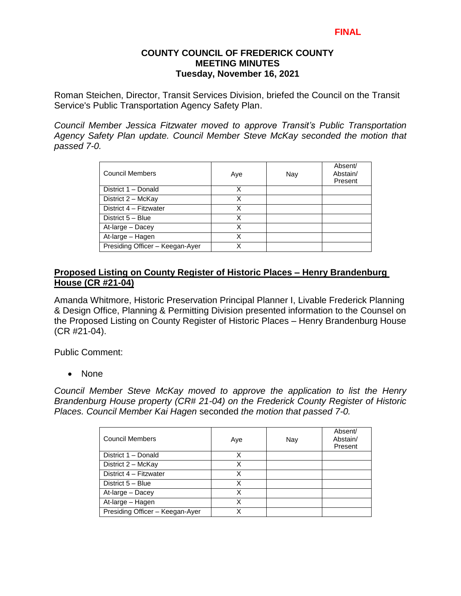## **COUNTY COUNCIL OF FREDERICK COUNTY MEETING MINUTES Tuesday, November 16, 2021**

Roman Steichen, Director, Transit Services Division, briefed the Council on the Transit Service's Public Transportation Agency Safety Plan.

*Council Member Jessica Fitzwater moved to approve Transit's Public Transportation Agency Safety Plan update. Council Member Steve McKay seconded the motion that passed 7-0.* 

| Council Members                 | Aye | Nay | Absent/<br>Abstain/<br>Present |
|---------------------------------|-----|-----|--------------------------------|
| District 1 - Donald             | x   |     |                                |
| District 2 - McKay              | x   |     |                                |
| District 4 - Fitzwater          | х   |     |                                |
| District 5 - Blue               | Χ   |     |                                |
| At-large - Dacey                | Χ   |     |                                |
| At-large - Hagen                | Χ   |     |                                |
| Presiding Officer - Keegan-Ayer | x   |     |                                |

## **Proposed Listing on County Register of Historic Places – Henry Brandenburg House (CR #21-04)**

Amanda Whitmore, Historic Preservation Principal Planner I, Livable Frederick Planning & Design Office, Planning & Permitting Division presented information to the Counsel on the Proposed Listing on County Register of Historic Places – Henry Brandenburg House (CR #21-04).

Public Comment:

• None

*Council Member Steve McKay moved to approve the application to list the Henry Brandenburg House property (CR# 21-04) on the Frederick County Register of Historic Places. Council Member Kai Hagen* seconded *the motion that passed 7-0.* 

| <b>Council Members</b>          | Aye | Nay | Absent/<br>Abstain/<br>Present |
|---------------------------------|-----|-----|--------------------------------|
| District 1 - Donald             | х   |     |                                |
| District 2 - McKay              | X   |     |                                |
| District 4 - Fitzwater          | X   |     |                                |
| District 5 - Blue               | x   |     |                                |
| At-large - Dacey                | x   |     |                                |
| At-large - Hagen                |     |     |                                |
| Presiding Officer - Keegan-Ayer |     |     |                                |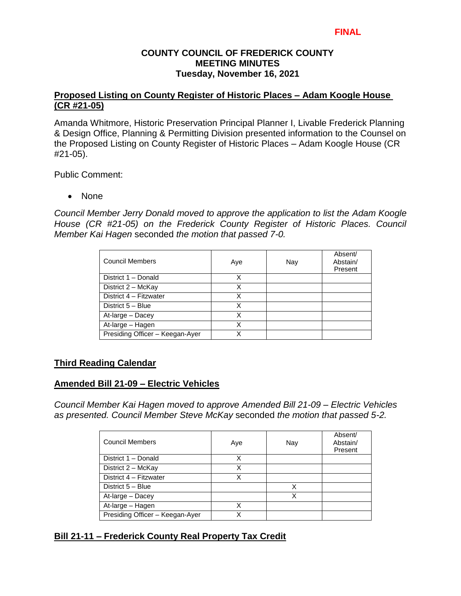### **COUNTY COUNCIL OF FREDERICK COUNTY MEETING MINUTES Tuesday, November 16, 2021**

## **Proposed Listing on County Register of Historic Places – Adam Koogle House (CR #21-05)**

Amanda Whitmore, Historic Preservation Principal Planner I, Livable Frederick Planning & Design Office, Planning & Permitting Division presented information to the Counsel on the Proposed Listing on County Register of Historic Places – Adam Koogle House (CR #21-05).

Public Comment:

• None

*Council Member Jerry Donald moved to approve the application to list the Adam Koogle House (CR #21-05) on the Frederick County Register of Historic Places. Council Member Kai Hagen* seconded *the motion that passed 7-0.* 

| <b>Council Members</b>          | Aye | Nay | Absent/<br>Abstain/<br>Present |
|---------------------------------|-----|-----|--------------------------------|
| District 1 - Donald             | x   |     |                                |
| District $2 - \text{McKay}$     | X   |     |                                |
| District 4 - Fitzwater          | х   |     |                                |
| District 5 - Blue               | х   |     |                                |
| At-large - Dacey                | Χ   |     |                                |
| At-large - Hagen                | Χ   |     |                                |
| Presiding Officer - Keegan-Ayer |     |     |                                |

## **Third Reading Calendar**

## **Amended Bill 21-09 – Electric Vehicles**

*Council Member Kai Hagen moved to approve Amended Bill 21-09 – Electric Vehicles as presented. Council Member Steve McKay* seconded *the motion that passed 5-2.*

| <b>Council Members</b>          | Aye | Nay | Absent/<br>Abstain/<br>Present |
|---------------------------------|-----|-----|--------------------------------|
| District 1 - Donald             | X   |     |                                |
| District 2 - McKay              | X   |     |                                |
| District 4 - Fitzwater          | x   |     |                                |
| District 5 - Blue               |     | X   |                                |
| At-large - Dacey                |     | x   |                                |
| At-large - Hagen                | x   |     |                                |
| Presiding Officer - Keegan-Ayer |     |     |                                |

# **Bill 21-11 – Frederick County Real Property Tax Credit**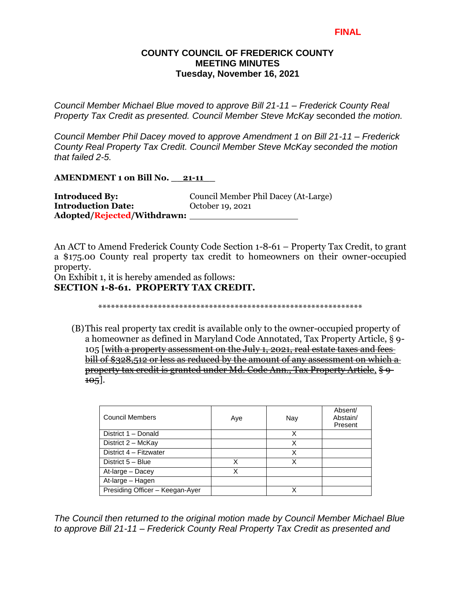#### **COUNTY COUNCIL OF FREDERICK COUNTY MEETING MINUTES Tuesday, November 16, 2021**

*Council Member Michael Blue moved to approve Bill 21-11 – Frederick County Real Property Tax Credit as presented. Council Member Steve McKay* seconded *the motion.*

*Council Member Phil Dacey moved to approve Amendment 1 on Bill 21-11 – Frederick County Real Property Tax Credit. Council Member Steve McKay seconded the motion that failed 2-5.*

**AMENDMENT 1 on Bill No. \_\_21-11\_\_** 

| <b>Introduced By:</b>       | Council Member Phil Dacey (At-Large) |  |
|-----------------------------|--------------------------------------|--|
| <b>Introduction Date:</b>   | October 19, 2021                     |  |
| Adopted/Rejected/Withdrawn: |                                      |  |

An ACT to Amend Frederick County Code Section 1-8-61 – Property Tax Credit, to grant a \$175.00 County real property tax credit to homeowners on their owner-occupied property.

On Exhibit 1, it is hereby amended as follows: **SECTION 1-8-61. PROPERTY TAX CREDIT.**

\*\*\*\*\*\*\*\*\*\*\*\*\*\*\*\*\*\*\*\*\*\*\*\*\*\*\*\*\*\*\*\*\*\*\*\*\*\*\*\*\*\*\*\*\*\*\*\*\*\*\*\*\*\*\*\*\*\*\*\*\*\*

(B)This real property tax credit is available only to the owner-occupied property of a homeowner as defined in Maryland Code Annotated, Tax Property Article, § 9- 105 [with a property assessment on the July 1, 2021, real estate taxes and fees bill of \$328,512 or less as reduced by the amount of any assessment on which a property tax credit is granted under Md. Code Ann., Tax Property Article, § 9-  $105$ .

| <b>Council Members</b>          | Aye | Nay | Absent/<br>Abstain/<br>Present |
|---------------------------------|-----|-----|--------------------------------|
| District 1 - Donald             |     | X   |                                |
| District 2 - McKay              |     | Χ   |                                |
| District 4 - Fitzwater          |     | x   |                                |
| District 5 - Blue               |     | x   |                                |
| At-large - Dacey                |     |     |                                |
| At-large - Hagen                |     |     |                                |
| Presiding Officer - Keegan-Ayer |     |     |                                |

*The Council then returned to the original motion made by Council Member Michael Blue to approve Bill 21-11 – Frederick County Real Property Tax Credit as presented and*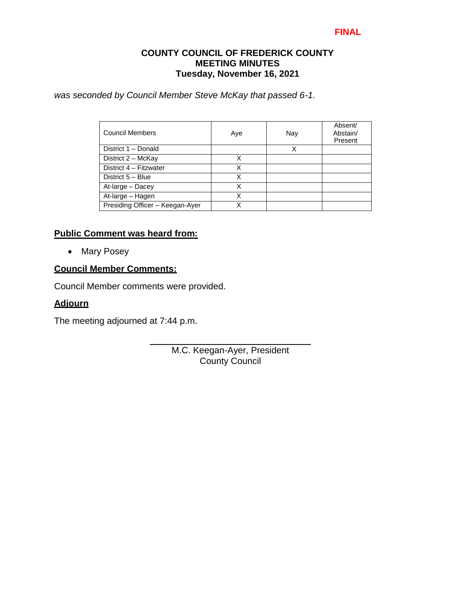### **COUNTY COUNCIL OF FREDERICK COUNTY MEETING MINUTES Tuesday, November 16, 2021**

*was seconded by Council Member Steve McKay that passed 6-1.* 

| <b>Council Members</b>          | Aye | Nay | Absent/<br>Abstain/<br>Present |
|---------------------------------|-----|-----|--------------------------------|
| District 1 - Donald             |     |     |                                |
| District 2 - McKay              | X   |     |                                |
| District 4 - Fitzwater          | X   |     |                                |
| District 5 - Blue               | Χ   |     |                                |
| At-large - Dacey                | Χ   |     |                                |
| At-large - Hagen                | Χ   |     |                                |
| Presiding Officer - Keegan-Ayer |     |     |                                |

## **Public Comment was heard from:**

• Mary Posey

## **Council Member Comments:**

Council Member comments were provided.

#### **Adjourn**

The meeting adjourned at 7:44 p.m.

M.C. Keegan-Ayer, President County Council